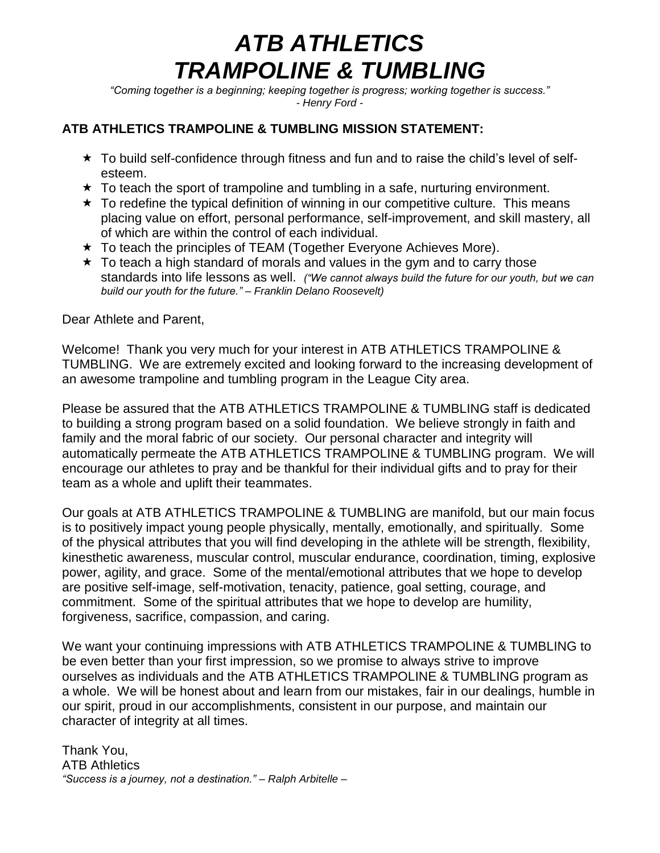# *ATB ATHLETICS TRAMPOLINE & TUMBLING*

*"Coming together is a beginning; keeping together is progress; working together is success." - Henry Ford -*

#### **ATB ATHLETICS TRAMPOLINE & TUMBLING MISSION STATEMENT:**

- $\star$  To build self-confidence through fitness and fun and to raise the child's level of selfesteem.
- $\star$  To teach the sport of trampoline and tumbling in a safe, nurturing environment.
- $\star$  To redefine the typical definition of winning in our competitive culture. This means placing value on effort, personal performance, self-improvement, and skill mastery, all of which are within the control of each individual.
- ★ To teach the principles of TEAM (Together Everyone Achieves More).
- $\star$  To teach a high standard of morals and values in the gym and to carry those standards into life lessons as well. *("We cannot always build the future for our youth, but we can build our youth for the future." – Franklin Delano Roosevelt)*

Dear Athlete and Parent,

Welcome! Thank you very much for your interest in ATB ATHLETICS TRAMPOLINE & TUMBLING. We are extremely excited and looking forward to the increasing development of an awesome trampoline and tumbling program in the League City area.

Please be assured that the ATB ATHLETICS TRAMPOLINE & TUMBLING staff is dedicated to building a strong program based on a solid foundation. We believe strongly in faith and family and the moral fabric of our society. Our personal character and integrity will automatically permeate the ATB ATHLETICS TRAMPOLINE & TUMBLING program. We will encourage our athletes to pray and be thankful for their individual gifts and to pray for their team as a whole and uplift their teammates.

Our goals at ATB ATHLETICS TRAMPOLINE & TUMBLING are manifold, but our main focus is to positively impact young people physically, mentally, emotionally, and spiritually. Some of the physical attributes that you will find developing in the athlete will be strength, flexibility, kinesthetic awareness, muscular control, muscular endurance, coordination, timing, explosive power, agility, and grace. Some of the mental/emotional attributes that we hope to develop are positive self-image, self-motivation, tenacity, patience, goal setting, courage, and commitment. Some of the spiritual attributes that we hope to develop are humility, forgiveness, sacrifice, compassion, and caring.

We want your continuing impressions with ATB ATHLETICS TRAMPOLINE & TUMBLING to be even better than your first impression, so we promise to always strive to improve ourselves as individuals and the ATB ATHLETICS TRAMPOLINE & TUMBLING program as a whole. We will be honest about and learn from our mistakes, fair in our dealings, humble in our spirit, proud in our accomplishments, consistent in our purpose, and maintain our character of integrity at all times.

Thank You, ATB Athletics *"Success is a journey, not a destination." – Ralph Arbitelle –*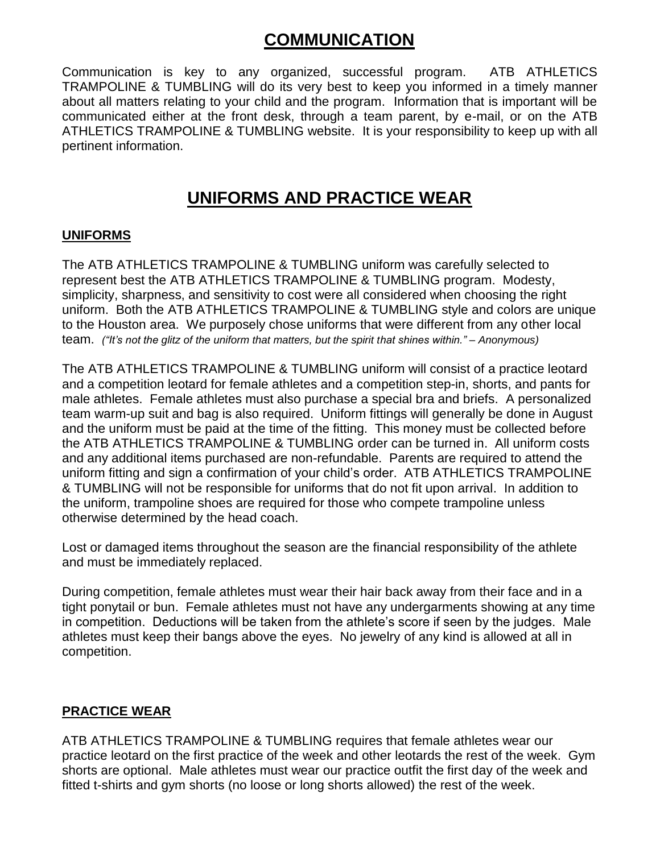# **COMMUNICATION**

Communication is key to any organized, successful program. ATB ATHLETICS TRAMPOLINE & TUMBLING will do its very best to keep you informed in a timely manner about all matters relating to your child and the program. Information that is important will be communicated either at the front desk, through a team parent, by e-mail, or on the ATB ATHLETICS TRAMPOLINE & TUMBLING website. It is your responsibility to keep up with all pertinent information.

### **UNIFORMS AND PRACTICE WEAR**

### **UNIFORMS**

The ATB ATHLETICS TRAMPOLINE & TUMBLING uniform was carefully selected to represent best the ATB ATHLETICS TRAMPOLINE & TUMBLING program. Modesty, simplicity, sharpness, and sensitivity to cost were all considered when choosing the right uniform. Both the ATB ATHLETICS TRAMPOLINE & TUMBLING style and colors are unique to the Houston area. We purposely chose uniforms that were different from any other local team. *("It's not the glitz of the uniform that matters, but the spirit that shines within." – Anonymous)*

The ATB ATHLETICS TRAMPOLINE & TUMBLING uniform will consist of a practice leotard and a competition leotard for female athletes and a competition step-in, shorts, and pants for male athletes. Female athletes must also purchase a special bra and briefs. A personalized team warm-up suit and bag is also required. Uniform fittings will generally be done in August and the uniform must be paid at the time of the fitting. This money must be collected before the ATB ATHLETICS TRAMPOLINE & TUMBLING order can be turned in. All uniform costs and any additional items purchased are non-refundable. Parents are required to attend the uniform fitting and sign a confirmation of your child's order. ATB ATHLETICS TRAMPOLINE & TUMBLING will not be responsible for uniforms that do not fit upon arrival. In addition to the uniform, trampoline shoes are required for those who compete trampoline unless otherwise determined by the head coach.

Lost or damaged items throughout the season are the financial responsibility of the athlete and must be immediately replaced.

During competition, female athletes must wear their hair back away from their face and in a tight ponytail or bun. Female athletes must not have any undergarments showing at any time in competition. Deductions will be taken from the athlete's score if seen by the judges. Male athletes must keep their bangs above the eyes. No jewelry of any kind is allowed at all in competition.

### **PRACTICE WEAR**

ATB ATHLETICS TRAMPOLINE & TUMBLING requires that female athletes wear our practice leotard on the first practice of the week and other leotards the rest of the week. Gym shorts are optional. Male athletes must wear our practice outfit the first day of the week and fitted t-shirts and gym shorts (no loose or long shorts allowed) the rest of the week.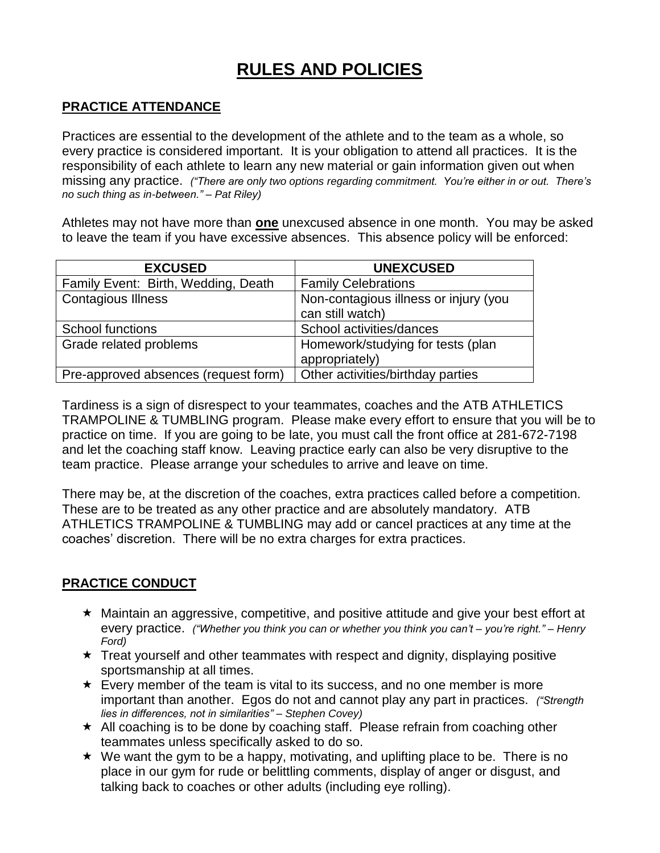# **RULES AND POLICIES**

### **PRACTICE ATTENDANCE**

Practices are essential to the development of the athlete and to the team as a whole, so every practice is considered important. It is your obligation to attend all practices. It is the responsibility of each athlete to learn any new material or gain information given out when missing any practice. *("There are only two options regarding commitment. You're either in or out. There's no such thing as in-between." – Pat Riley)*

Athletes may not have more than **one** unexcused absence in one month. You may be asked to leave the team if you have excessive absences. This absence policy will be enforced:

| <b>EXCUSED</b>                       | <b>UNEXCUSED</b>                      |
|--------------------------------------|---------------------------------------|
| Family Event: Birth, Wedding, Death  | <b>Family Celebrations</b>            |
| <b>Contagious Illness</b>            | Non-contagious illness or injury (you |
|                                      | can still watch)                      |
| <b>School functions</b>              | School activities/dances              |
| Grade related problems               | Homework/studying for tests (plan     |
|                                      | appropriately)                        |
| Pre-approved absences (request form) | Other activities/birthday parties     |

Tardiness is a sign of disrespect to your teammates, coaches and the ATB ATHLETICS TRAMPOLINE & TUMBLING program. Please make every effort to ensure that you will be to practice on time. If you are going to be late, you must call the front office at 281-672-7198 and let the coaching staff know. Leaving practice early can also be very disruptive to the team practice. Please arrange your schedules to arrive and leave on time.

There may be, at the discretion of the coaches, extra practices called before a competition. These are to be treated as any other practice and are absolutely mandatory. ATB ATHLETICS TRAMPOLINE & TUMBLING may add or cancel practices at any time at the coaches' discretion. There will be no extra charges for extra practices.

#### **PRACTICE CONDUCT**

- Maintain an aggressive, competitive, and positive attitude and give your best effort at every practice. *("Whether you think you can or whether you think you can't – you're right." – Henry Ford)*
- $\star$  Treat yourself and other teammates with respect and dignity, displaying positive sportsmanship at all times.
- $\star$  Every member of the team is vital to its success, and no one member is more important than another. Egos do not and cannot play any part in practices. *("Strength lies in differences, not in similarities" – Stephen Covey)*
- $\star$  All coaching is to be done by coaching staff. Please refrain from coaching other teammates unless specifically asked to do so.
- $\star$  We want the gym to be a happy, motivating, and uplifting place to be. There is no place in our gym for rude or belittling comments, display of anger or disgust, and talking back to coaches or other adults (including eye rolling).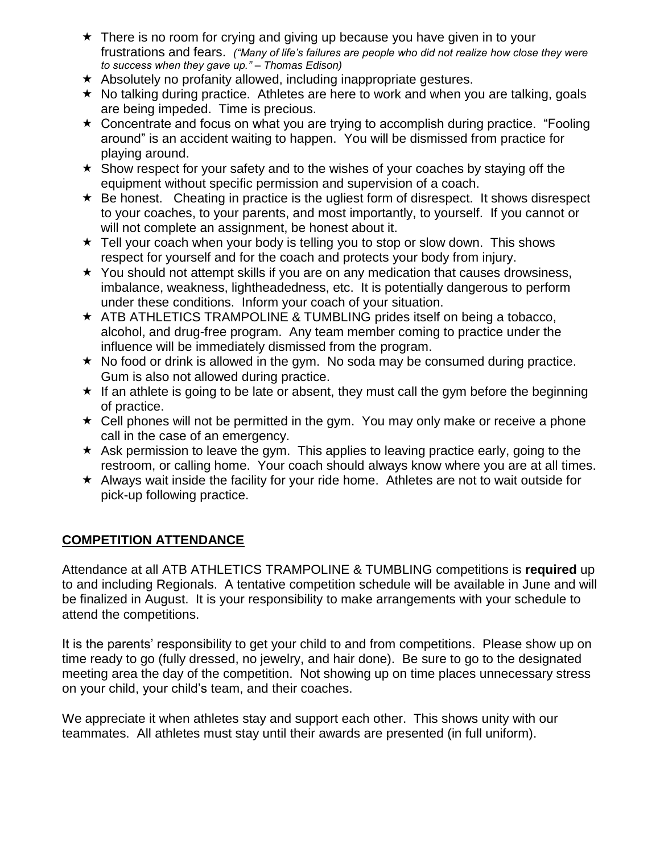- $\star$  There is no room for crying and giving up because you have given in to your frustrations and fears. *("Many of life's failures are people who did not realize how close they were to success when they gave up." – Thomas Edison)*
- $\star$  Absolutely no profanity allowed, including inappropriate gestures.
- $\star$  No talking during practice. Athletes are here to work and when you are talking, goals are being impeded. Time is precious.
- $\star$  Concentrate and focus on what you are trying to accomplish during practice. "Fooling" around" is an accident waiting to happen. You will be dismissed from practice for playing around.
- $\star$  Show respect for your safety and to the wishes of your coaches by staying off the equipment without specific permission and supervision of a coach.
- $\star$  Be honest. Cheating in practice is the ugliest form of disrespect. It shows disrespect to your coaches, to your parents, and most importantly, to yourself. If you cannot or will not complete an assignment, be honest about it.
- $\star$  Tell your coach when your body is telling you to stop or slow down. This shows respect for yourself and for the coach and protects your body from injury.
- $\star$  You should not attempt skills if you are on any medication that causes drowsiness, imbalance, weakness, lightheadedness, etc. It is potentially dangerous to perform under these conditions. Inform your coach of your situation.
- $\star$  ATB ATHLETICS TRAMPOLINE & TUMBLING prides itself on being a tobacco, alcohol, and drug-free program. Any team member coming to practice under the influence will be immediately dismissed from the program.
- $\star$  No food or drink is allowed in the gym. No soda may be consumed during practice. Gum is also not allowed during practice.
- $\star$  If an athlete is going to be late or absent, they must call the gym before the beginning of practice.
- $\star$  Cell phones will not be permitted in the gym. You may only make or receive a phone call in the case of an emergency.
- $\star$  Ask permission to leave the gym. This applies to leaving practice early, going to the restroom, or calling home. Your coach should always know where you are at all times.
- $\star$  Always wait inside the facility for your ride home. Athletes are not to wait outside for pick-up following practice.

### **COMPETITION ATTENDANCE**

Attendance at all ATB ATHLETICS TRAMPOLINE & TUMBLING competitions is **required** up to and including Regionals. A tentative competition schedule will be available in June and will be finalized in August. It is your responsibility to make arrangements with your schedule to attend the competitions.

It is the parents' responsibility to get your child to and from competitions. Please show up on time ready to go (fully dressed, no jewelry, and hair done). Be sure to go to the designated meeting area the day of the competition. Not showing up on time places unnecessary stress on your child, your child's team, and their coaches.

We appreciate it when athletes stay and support each other. This shows unity with our teammates. All athletes must stay until their awards are presented (in full uniform).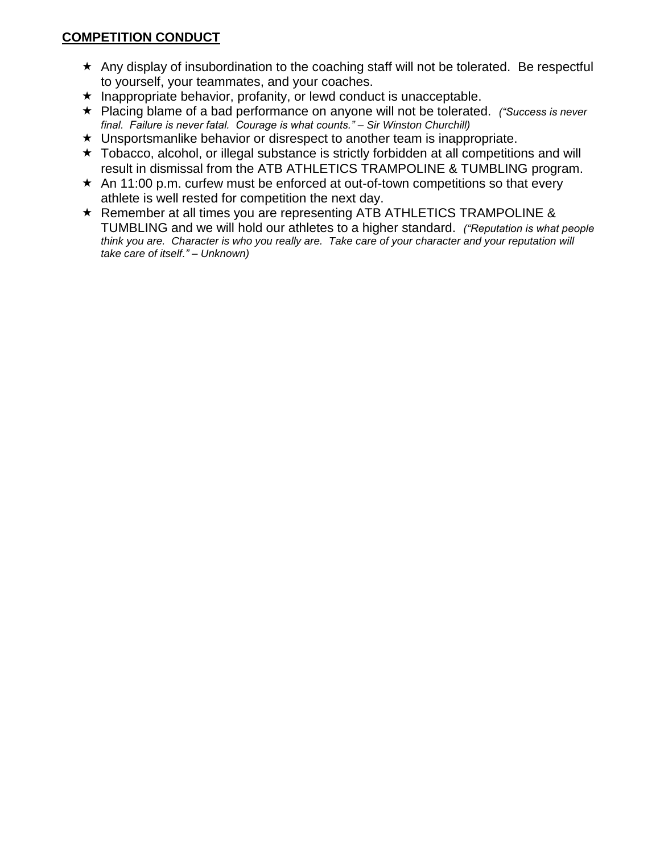### **COMPETITION CONDUCT**

- \* Any display of insubordination to the coaching staff will not be tolerated. Be respectful to yourself, your teammates, and your coaches.
- $\star$  Inappropriate behavior, profanity, or lewd conduct is unacceptable.
- Placing blame of a bad performance on anyone will not be tolerated. *("Success is never final. Failure is never fatal. Courage is what counts." – Sir Winston Churchill)*
- Unsportsmanlike behavior or disrespect to another team is inappropriate.
- \* Tobacco, alcohol, or illegal substance is strictly forbidden at all competitions and will result in dismissal from the ATB ATHLETICS TRAMPOLINE & TUMBLING program.
- $\star$  An 11:00 p.m. curfew must be enforced at out-of-town competitions so that every athlete is well rested for competition the next day.
- \* Remember at all times you are representing ATB ATHLETICS TRAMPOLINE & TUMBLING and we will hold our athletes to a higher standard. *("Reputation is what people think you are. Character is who you really are. Take care of your character and your reputation will take care of itself." – Unknown)*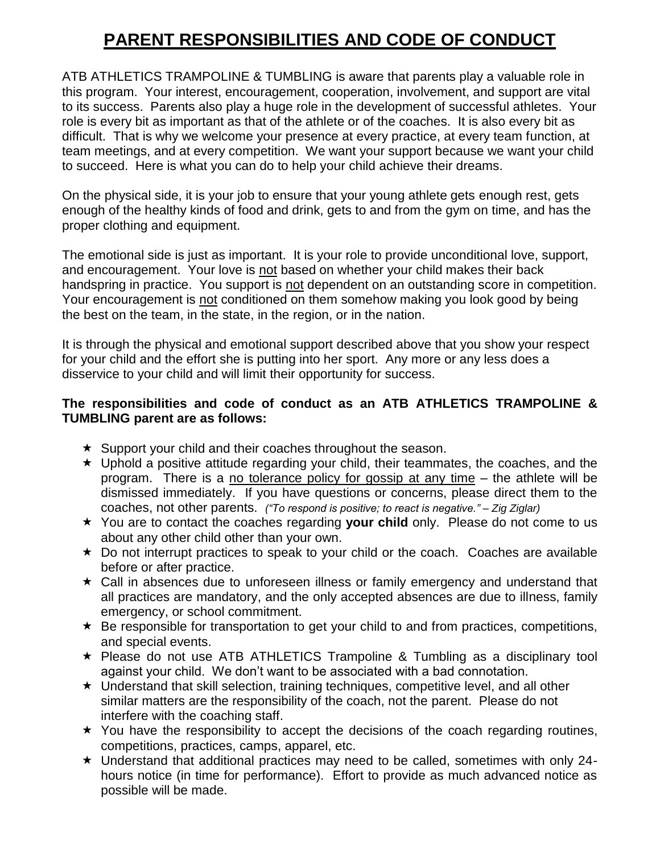# **PARENT RESPONSIBILITIES AND CODE OF CONDUCT**

ATB ATHLETICS TRAMPOLINE & TUMBLING is aware that parents play a valuable role in this program. Your interest, encouragement, cooperation, involvement, and support are vital to its success. Parents also play a huge role in the development of successful athletes. Your role is every bit as important as that of the athlete or of the coaches. It is also every bit as difficult. That is why we welcome your presence at every practice, at every team function, at team meetings, and at every competition. We want your support because we want your child to succeed. Here is what you can do to help your child achieve their dreams.

On the physical side, it is your job to ensure that your young athlete gets enough rest, gets enough of the healthy kinds of food and drink, gets to and from the gym on time, and has the proper clothing and equipment.

The emotional side is just as important. It is your role to provide unconditional love, support, and encouragement. Your love is not based on whether your child makes their back handspring in practice. You support is not dependent on an outstanding score in competition. Your encouragement is not conditioned on them somehow making you look good by being the best on the team, in the state, in the region, or in the nation.

It is through the physical and emotional support described above that you show your respect for your child and the effort she is putting into her sport. Any more or any less does a disservice to your child and will limit their opportunity for success.

### **The responsibilities and code of conduct as an ATB ATHLETICS TRAMPOLINE & TUMBLING parent are as follows:**

- $\star$  Support your child and their coaches throughout the season.
- $\star$  Uphold a positive attitude regarding your child, their teammates, the coaches, and the program. There is a no tolerance policy for gossip at any time – the athlete will be dismissed immediately. If you have questions or concerns, please direct them to the coaches, not other parents. *("To respond is positive; to react is negative." – Zig Ziglar)*
- You are to contact the coaches regarding **your child** only. Please do not come to us about any other child other than your own.
- $\star$  Do not interrupt practices to speak to your child or the coach. Coaches are available before or after practice.
- Call in absences due to unforeseen illness or family emergency and understand that all practices are mandatory, and the only accepted absences are due to illness, family emergency, or school commitment.
- $\star$  Be responsible for transportation to get your child to and from practices, competitions, and special events.
- \* Please do not use ATB ATHLETICS Trampoline & Tumbling as a disciplinary tool against your child. We don't want to be associated with a bad connotation.
- Understand that skill selection, training techniques, competitive level, and all other similar matters are the responsibility of the coach, not the parent. Please do not interfere with the coaching staff.
- $\star$  You have the responsibility to accept the decisions of the coach regarding routines, competitions, practices, camps, apparel, etc.
- $\star$  Understand that additional practices may need to be called, sometimes with only 24hours notice (in time for performance). Effort to provide as much advanced notice as possible will be made.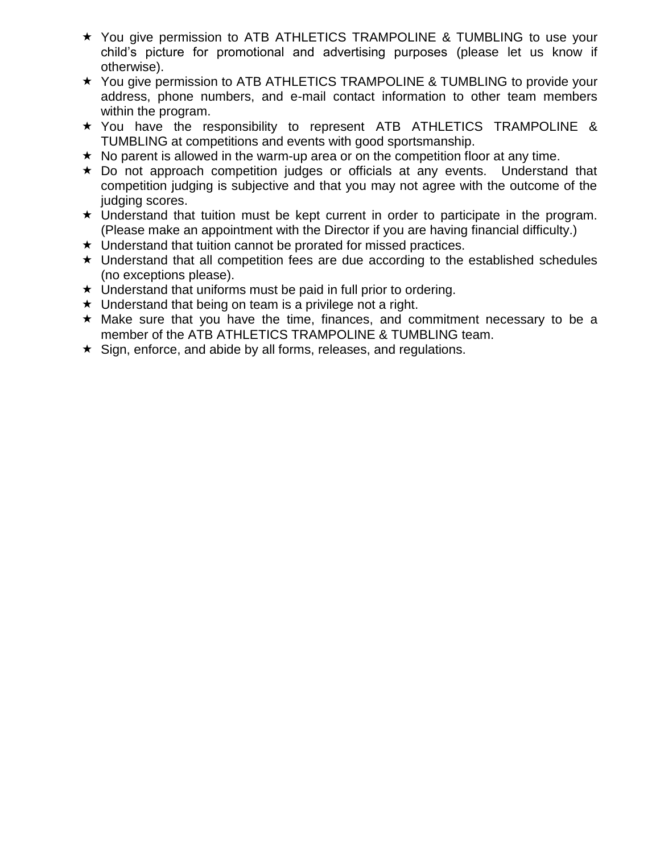- You give permission to ATB ATHLETICS TRAMPOLINE & TUMBLING to use your child's picture for promotional and advertising purposes (please let us know if otherwise).
- ★ You give permission to ATB ATHLETICS TRAMPOLINE & TUMBLING to provide your address, phone numbers, and e-mail contact information to other team members within the program.
- $\star$  You have the responsibility to represent ATB ATHLETICS TRAMPOLINE & TUMBLING at competitions and events with good sportsmanship.
- $\star$  No parent is allowed in the warm-up area or on the competition floor at any time.
- \* Do not approach competition judges or officials at any events. Understand that competition judging is subjective and that you may not agree with the outcome of the judging scores.
- $\star$  Understand that tuition must be kept current in order to participate in the program. (Please make an appointment with the Director if you are having financial difficulty.)
- $\star$  Understand that tuition cannot be prorated for missed practices.
- Understand that all competition fees are due according to the established schedules (no exceptions please).
- $\star$  Understand that uniforms must be paid in full prior to ordering.
- $\star$  Understand that being on team is a privilege not a right.
- $\star$  Make sure that you have the time, finances, and commitment necessary to be a member of the ATB ATHLETICS TRAMPOLINE & TUMBLING team.
- $\star$  Sign, enforce, and abide by all forms, releases, and regulations.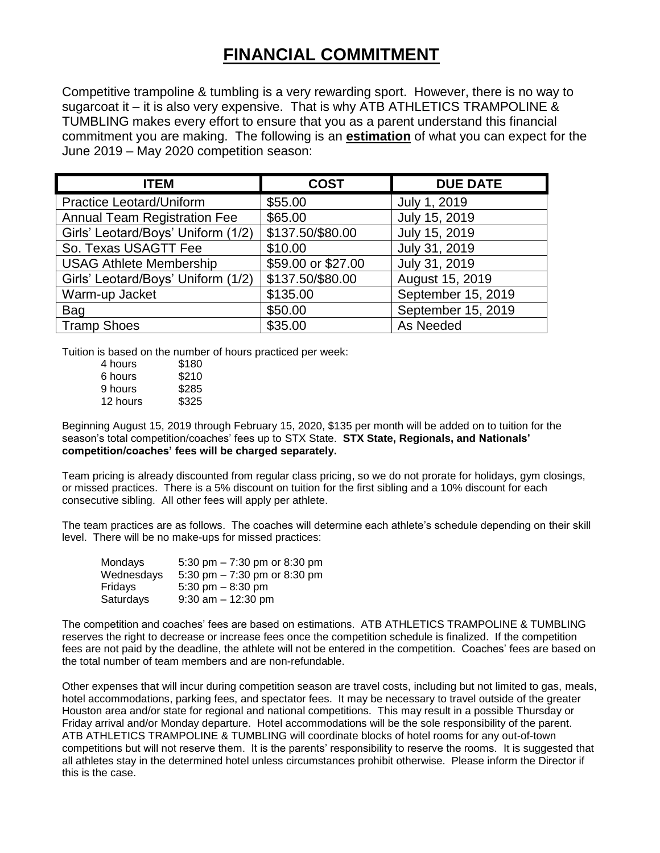## **FINANCIAL COMMITMENT**

Competitive trampoline & tumbling is a very rewarding sport. However, there is no way to sugarcoat it – it is also very expensive. That is why ATB ATHLETICS TRAMPOLINE & TUMBLING makes every effort to ensure that you as a parent understand this financial commitment you are making. The following is an **estimation** of what you can expect for the June 2019 – May 2020 competition season:

| <b>ITEM</b>                         | <b>COST</b>        | <b>DUE DATE</b>    |
|-------------------------------------|--------------------|--------------------|
| <b>Practice Leotard/Uniform</b>     | \$55.00            | July 1, 2019       |
| <b>Annual Team Registration Fee</b> | \$65.00            | July 15, 2019      |
| Girls' Leotard/Boys' Uniform (1/2)  | \$137.50/\$80.00   | July 15, 2019      |
| So. Texas USAGTT Fee                | \$10.00            | July 31, 2019      |
| <b>USAG Athlete Membership</b>      | \$59.00 or \$27.00 | July 31, 2019      |
| Girls' Leotard/Boys' Uniform (1/2)  | \$137.50/\$80.00   | August 15, 2019    |
| Warm-up Jacket                      | \$135.00           | September 15, 2019 |
| Bag                                 | \$50.00            | September 15, 2019 |
| <b>Tramp Shoes</b>                  | \$35.00            | As Needed          |

Tuition is based on the number of hours practiced per week:

| 4 hours  | \$180 |
|----------|-------|
| 6 hours  | \$210 |
| 9 hours  | \$285 |
| 12 hours | \$325 |
|          |       |

Beginning August 15, 2019 through February 15, 2020, \$135 per month will be added on to tuition for the season's total competition/coaches' fees up to STX State. **STX State, Regionals, and Nationals' competition/coaches' fees will be charged separately.**

Team pricing is already discounted from regular class pricing, so we do not prorate for holidays, gym closings, or missed practices. There is a 5% discount on tuition for the first sibling and a 10% discount for each consecutive sibling. All other fees will apply per athlete.

The team practices are as follows. The coaches will determine each athlete's schedule depending on their skill level. There will be no make-ups for missed practices:

| Mondays    | 5:30 pm $-7:30$ pm or 8:30 pm |
|------------|-------------------------------|
| Wednesdays | 5:30 pm $-7:30$ pm or 8:30 pm |
| Fridavs    | 5:30 pm $-8:30$ pm            |
| Saturdays  | $9:30$ am $-12:30$ pm         |

The competition and coaches' fees are based on estimations. ATB ATHLETICS TRAMPOLINE & TUMBLING reserves the right to decrease or increase fees once the competition schedule is finalized. If the competition fees are not paid by the deadline, the athlete will not be entered in the competition. Coaches' fees are based on the total number of team members and are non-refundable.

Other expenses that will incur during competition season are travel costs, including but not limited to gas, meals, hotel accommodations, parking fees, and spectator fees. It may be necessary to travel outside of the greater Houston area and/or state for regional and national competitions. This may result in a possible Thursday or Friday arrival and/or Monday departure. Hotel accommodations will be the sole responsibility of the parent. ATB ATHLETICS TRAMPOLINE & TUMBLING will coordinate blocks of hotel rooms for any out-of-town competitions but will not reserve them. It is the parents' responsibility to reserve the rooms. It is suggested that all athletes stay in the determined hotel unless circumstances prohibit otherwise. Please inform the Director if this is the case.